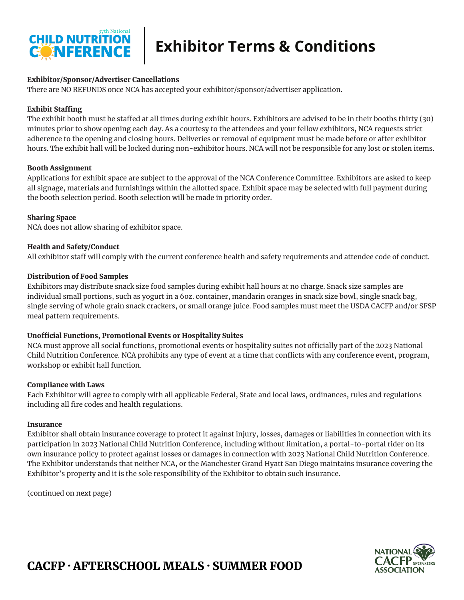

# **Exhibitor Terms & Conditions**

## Exhibitor/Sponsor/Advertiser Cancellations

There are NO REFUNDS once NCA has accepted your exhibitor/sponsor/advertiser application.

### Exhibit Staffing

The exhibit booth must be staffed at all times during exhibit hours. Exhibitors are advised to be in their booths thirty (30) minutes prior to show opening each day. As a courtesy to the attendees and your fellow exhibitors, NCA requests strict adherence to the opening and closing hours. Deliveries or removal of equipment must be made before or after exhibitor hours. The exhibit hall will be locked during non-exhibitor hours. NCA will not be responsible for any lost or stolen items.

## Booth Assignment

Applications for exhibit space are subject to the approval of the NCA Conference Committee. Exhibitors are asked to keep all signage, materials and furnishings within the allotted space. Exhibit space may be selected with full payment during the booth selection period. Booth selection will be made in priority order.

## Sharing Space

NCA does not allow sharing of exhibitor space.

## Health and Safety/Conduct

All exhibitor staff will comply with the current conference health and safety requirements and attendee code of conduct.

## Distribution of Food Samples

Exhibitors may distribute snack size food samples during exhibit hall hours at no charge. Snack size samples are individual small portions, such as yogurt in a 6oz. container, mandarin oranges in snack size bowl, single snack bag, single serving of whole grain snack crackers, or small orange juice. Food samples must meet the USDA CACFP and/or SFSP meal pattern requirements.

# Unofficial Functions, Promotional Events or Hospitality Suites

NCA must approve all social functions, promotional events or hospitality suites not officially part of the 2023 National Child Nutrition Conference. NCA prohibits any type of event at a time that conflicts with any conference event, program, workshop or exhibit hall function.

### Compliance with Laws

Each Exhibitor will agree to comply with all applicable Federal, State and local laws, ordinances, rules and regulations including all fire codes and health regulations.

### Insurance

Exhibitor shall obtain insurance coverage to protect it against injury, losses, damages or liabilities in connection with its participation in 2023 National Child Nutrition Conference, including without limitation, a portal-to-portal rider on its own insurance policy to protect against losses or damages in connection with 2023 National Child Nutrition Conference. The Exhibitor understands that neither NCA, or the Manchester Grand Hyatt San Diego maintains insurance covering the Exhibitor's property and it is the sole responsibility of the Exhibitor to obtain such insurance.

(continued on next page)



# CACFP · AFTERSCHOOL MEALS · SUMMER FOOD